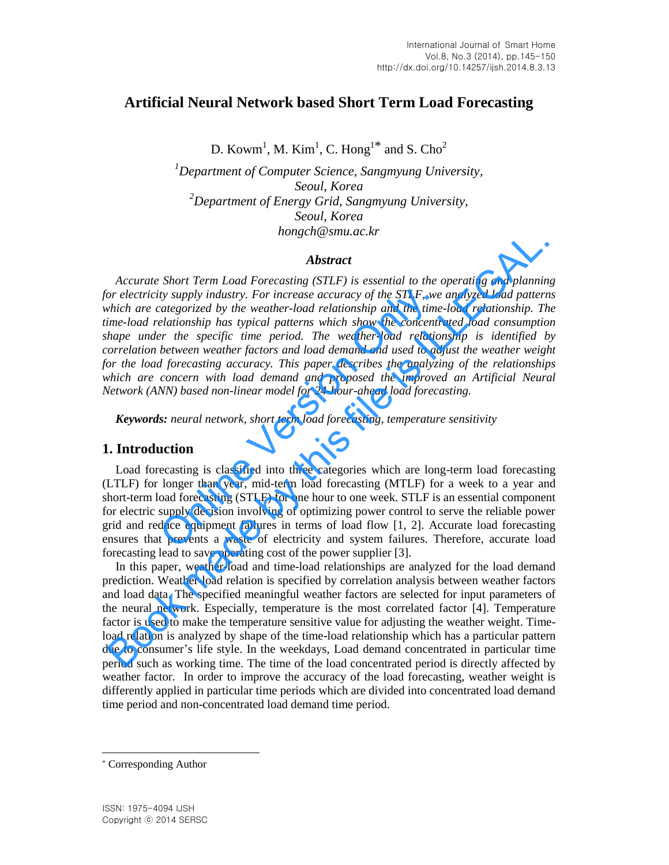# **Artificial Neural Network based Short Term Load Forecasting**

D. Kowm<sup>1</sup>, M. Kim<sup>1</sup>, C. Hong<sup>1\*</sup> and S. Cho<sup>2</sup>

*<sup>1</sup>Department of Computer Science, Sangmyung University, Seoul, Korea <sup>2</sup>Department of Energy Grid, Sangmyung University, Seoul, Korea hongch@smu.ac.kr*

### *Abstract*

*Accurate Short Term Load Forecasting (STLF) is essential to the operating and planning for electricity supply industry. For increase accuracy of the STLF, we analyzed load patterns which are categorized by the weather-load relationship and the time-load relationship. The time-load relationship has typical patterns which show the concentrated load consumption shape under the specific time period. The weather-load relationship is identified by correlation between weather factors and load demand and used to adjust the weather weight for the load forecasting accuracy. This paper describes the analyzing of the relationships*  which are concern with load demand and proposed the improved an Artificial Neural *Network (ANN) based non-linear model for 24-hour-ahead load forecasting.*  ity supply industry. For increase accuracy of the STLF, we<br>categorized by the weather-load relationship and the time<br>elationship has typical patterns which show the concentr<br>er the specific time period. The weather-load re **Abstract**<br>**Abstract**<br>**Abstract**<br>**Abstract**<br>**Abstract**<br>**Abstract**<br>**Abstract**<br>**Documentative** and planning or decriticity supply industry. For increase accuracy of the STLF, we analyzed load pattern<br>
which are categorized

*Keywords: neural network, short term load forecasting, temperature sensitivity* 

## **1. Introduction**

Load forecasting is classified into three categories which are long-term load forecasting (LTLF) for longer than year, mid-term load forecasting (MTLF) for a week to a year and short-term load forecasting (STLF) for one hour to one week. STLF is an essential component for electric supply decision involving of optimizing power control to serve the reliable power grid and reduce equipment failures in terms of load flow [1, 2]. Accurate load forecasting ensures that prevents a waste of electricity and system failures. Therefore, accurate load forecasting lead to save operating cost of the power supplier [3].

In this paper, weather-load and time-load relationships are analyzed for the load demand prediction. Weather-load relation is specified by correlation analysis between weather factors and load data. The specified meaningful weather factors are selected for input parameters of the neural network. Especially, temperature is the most correlated factor [4]. Temperature factor is used to make the temperature sensitive value for adjusting the weather weight. Timeload relation is analyzed by shape of the time-load relationship which has a particular pattern due to consumer's life style. In the weekdays, Load demand concentrated in particular time period such as working time. The time of the load concentrated period is directly affected by weather factor. In order to improve the accuracy of the load forecasting, weather weight is differently applied in particular time periods which are divided into concentrated load demand time period and non-concentrated load demand time period.

l

<sup>\*</sup> Corresponding Author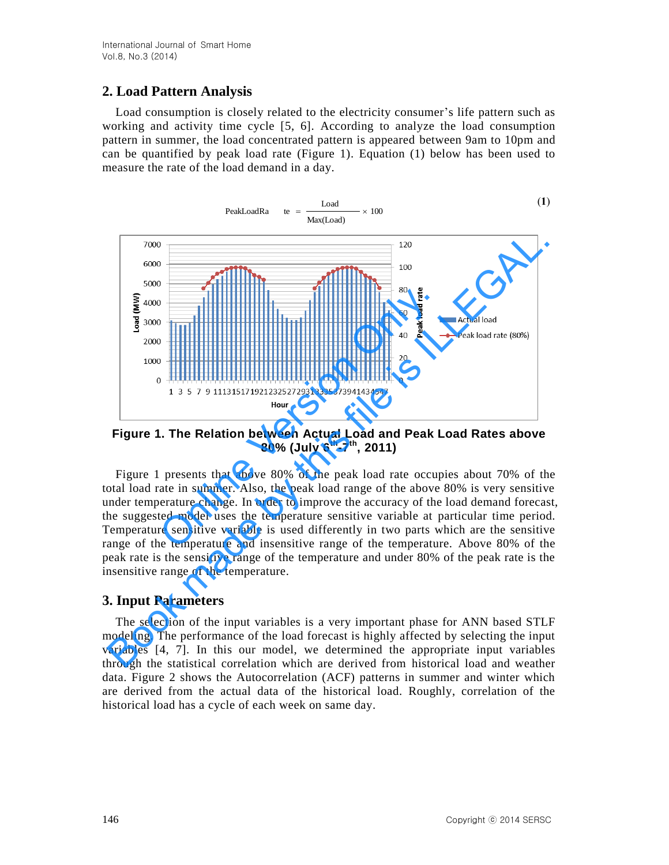# **2. Load Pattern Analysis**

Load consumption is closely related to the electricity consumer's life pattern such as working and activity time cycle [5, 6]. According to analyze the load consumption pattern in summer, the load concentrated pattern is appeared between 9am to 10pm and can be quantified by peak load rate (Figure 1). Equation (1) below has been used to measure the rate of the load demand in a day.



**Figure 1. The Relation between Actual Load and Peak Load Rates above 80% (July 6th-7th, 2011)**

Figure 1 presents that above 80% of the peak load rate occupies about 70% of the total load rate in summer. Also, the peak load range of the above 80% is very sensitive under temperature change. In order to improve the accuracy of the load demand forecast, the suggested model uses the temperature sensitive variable at particular time period. Temperature sensitive variable is used differently in two parts which are the sensitive range of the temperature and insensitive range of the temperature. Above 80% of the peak rate is the sensitive range of the temperature and under 80% of the peak rate is the insensitive range of the temperature.

## **3. Input Parameters**

The selection of the input variables is a very important phase for ANN based STLF modeling. The performance of the load forecast is highly affected by selecting the input variables [4, 7]. In this our model, we determined the appropriate input variables through the statistical correlation which are derived from historical load and weather data. Figure 2 shows the Autocorrelation (ACF) patterns in summer and winter which are derived from the actual data of the historical load. Roughly, correlation of the historical load has a cycle of each week on same day.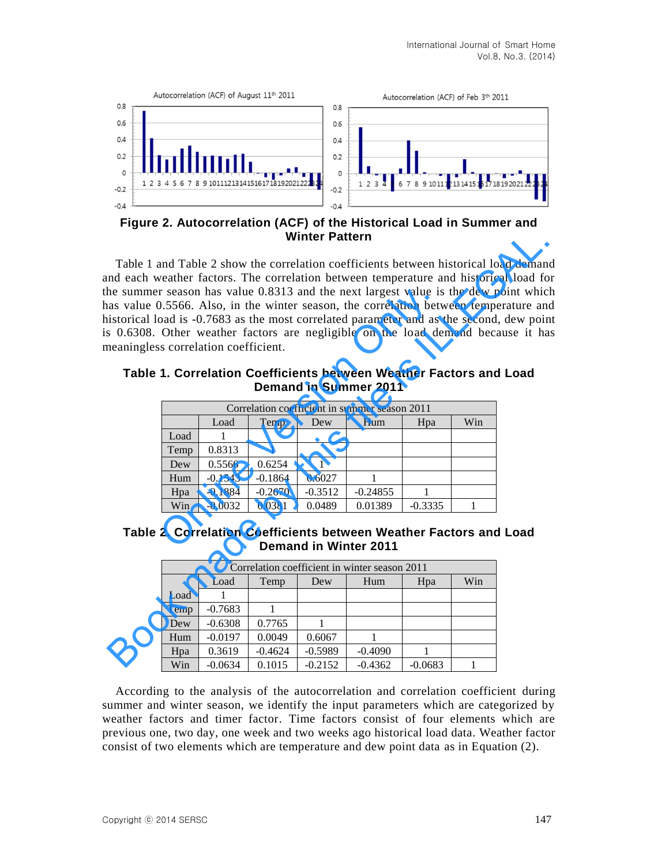

**Figure 2. Autocorrelation (ACF) of the Historical Load in Summer and Winter Pattern**

Table 1 and Table 2 show the correlation coefficients between historical load demand and each weather factors. The correlation between temperature and historical load for the summer season has value 0.8313 and the next largest value is the dew point which has value 0.5566. Also, in the winter season, the correlation between temperature and historical load is -0.7683 as the most correlated parameter and as the second, dew point is 0.6308. Other weather factors are negligible on the load demand because it has meaningless correlation coefficient. **Example 12**<br> **Winter Pattern**<br>
In Table 1 and Table 2 show the correlation coefficients between historical load domain<br>
In each weather factors. The correlation between temperature and historical load is -0.7683 as the m

|                                                                                                                                                 | gless correlation coefficient. |           |           | al load is -0.7683 as the most correlated parameter and as the second, de<br>08. Other weather factors are negligible on the load demand because |           |  |  |
|-------------------------------------------------------------------------------------------------------------------------------------------------|--------------------------------|-----------|-----------|--------------------------------------------------------------------------------------------------------------------------------------------------|-----------|--|--|
| ple 1. Correlation Coefficients between Weather Factors and Lo<br><b>Demand in Summer 2011</b><br>Correlation coefficient in summer season 2011 |                                |           |           |                                                                                                                                                  |           |  |  |
| Win<br>Load<br>Hum<br>Temp<br>Dew<br>Hpa                                                                                                        |                                |           |           |                                                                                                                                                  |           |  |  |
| Load                                                                                                                                            | 1                              |           |           |                                                                                                                                                  |           |  |  |
| Temp                                                                                                                                            | 0.8313                         | 1         |           |                                                                                                                                                  |           |  |  |
| Dew                                                                                                                                             | 0.5566                         | 0.6254    |           |                                                                                                                                                  |           |  |  |
| Hum                                                                                                                                             | $-0.1543$                      | $-0.1864$ | 0.6027    |                                                                                                                                                  |           |  |  |
|                                                                                                                                                 | $-0.1884$                      | $-0.2670$ | $-0.3512$ | $-0.24855$                                                                                                                                       |           |  |  |
| Hpa                                                                                                                                             |                                | 0.0381    | 0.0489    | 0.01389                                                                                                                                          | $-0.3335$ |  |  |

**Table 1. Correlation Coefficients between Weather Factors and Load Demand in Summer 2011**

|  | Table 2. Correlation Coefficients between Weather Factors and Load |  |  |  |
|--|--------------------------------------------------------------------|--|--|--|
|  | Demand in Winter 2011                                              |  |  |  |

| Correlation coefficient in winter season 2011 |           |           |           |           |           |     |  |
|-----------------------------------------------|-----------|-----------|-----------|-----------|-----------|-----|--|
|                                               | Load      | Temp      | Dew       | Hum       | Hpa       | Win |  |
| Load                                          |           |           |           |           |           |     |  |
| Temp                                          | $-0.7683$ |           |           |           |           |     |  |
| Dew                                           | $-0.6308$ | 0.7765    |           |           |           |     |  |
| Hum                                           | $-0.0197$ | 0.0049    | 0.6067    |           |           |     |  |
| Hpa                                           | 0.3619    | $-0.4624$ | $-0.5989$ | $-0.4090$ |           |     |  |
| Win                                           | $-0.0634$ | 0.1015    | $-0.2152$ | $-0.4362$ | $-0.0683$ |     |  |

According to the analysis of the autocorrelation and correlation coefficient during summer and winter season, we identify the input parameters which are categorized by weather factors and timer factor. Time factors consist of four elements which are previous one, two day, one week and two weeks ago historical load data. Weather factor consist of two elements which are temperature and dew point data as in Equation (2).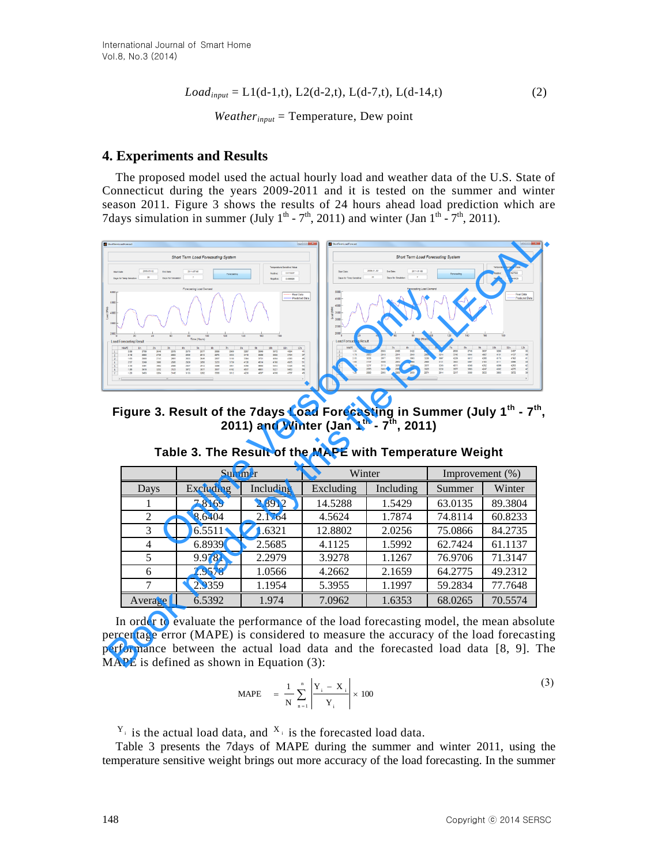$$
Load_{input} = L1(d-1,t), L2(d-2,t), L(d-7,t), L(d-14,t)
$$
\n(2)

*Weatherinput* = Temperature, Dew point

### **4. Experiments and Results**

The proposed model used the actual hourly load and weather data of the U.S. State of Connecticut during the years 2009-2011 and it is tested on the summer and winter season 2011. Figure 3 shows the results of 24 hours ahead load prediction which are 7days simulation in summer (July  $1^{th}$  -  $7^{th}$ , 2011) and winter (Jan  $1^{th}$  -  $7^{th}$ , 2011).



**Figure 3. Result of the 7days Load Forecasting in Summer (July 1th - 7 th , 2011) and Winter (Jan 1th - 7 th, 2011)**

|                | Summer    |           | Winter    |           | Improvement $(\% )$ |         |  |
|----------------|-----------|-----------|-----------|-----------|---------------------|---------|--|
| Days           | Excluding | Including | Excluding | Including | Summer              | Winter  |  |
|                | 7.8169    | 2.8912    | 14.5288   | 1.5429    | 63.0135             | 89.3804 |  |
| $\mathfrak{D}$ | 8.6404    | 2.1764    | 4.5624    | 1.7874    | 74.8114             | 60.8233 |  |
| 3              | 6.5511    | 1.6321    | 12.8802   | 2.0256    | 75.0866             | 84.2735 |  |
| 4              | 6.8939    | 2.5685    | 4.1125    | 1.5992    | 62.7424             | 61.1137 |  |
|                | 9.9781    | 2.2979    | 3.9278    | 1.1267    | 76.9706             | 71.3147 |  |
| 6              | 2.9578    | 1.0566    | 4.2662    | 2.1659    | 64.2775             | 49.2312 |  |
|                | 2.9359    | 1.1954    | 5.3955    | 1.1997    | 59.2834             | 77.7648 |  |
| Average        | 6.5392    | 1.974     | 7.0962    | 1.6353    | 68.0265             | 70.5574 |  |

**Table 3. The Result of the MAPE with Temperature Weight**

In order to evaluate the performance of the load forecasting model, the mean absolute percentage error (MAPE) is considered to measure the accuracy of the load forecasting performance between the actual load data and the forecasted load data [8, 9]. The MAPE is defined as shown in Equation (3):

$$
\text{MAPE} = \frac{1}{N} \sum_{n=1}^{n} \left| \frac{Y_i - X_i}{Y_i} \right| \times 100 \tag{3}
$$

 $Y_i$  is the actual load data, and  $X_i$  is the forecasted load data.

Table 3 presents the 7days of MAPE during the summer and winter 2011, using the temperature sensitive weight brings out more accuracy of the load forecasting. In the summer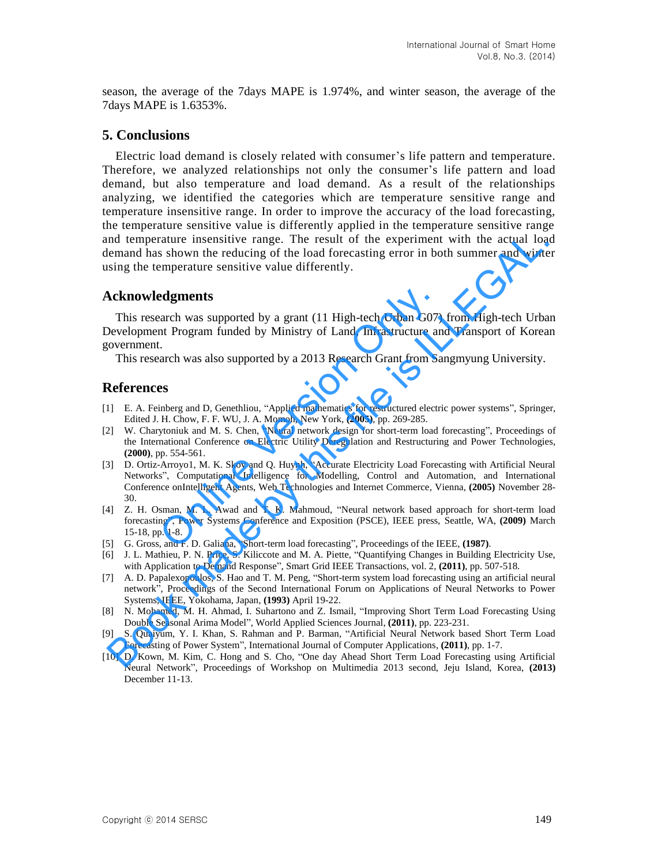season, the average of the 7days MAPE is 1.974%, and winter season, the average of the 7days MAPE is 1.6353%.

#### **5. Conclusions**

Electric load demand is closely related with consumer's life pattern and temperature. Therefore, we analyzed relationships not only the consumer's life pattern and load demand, but also temperature and load demand. As a result of the relationships analyzing, we identified the categories which are temperature sensitive range and temperature insensitive range. In order to improve the accuracy of the load forecasting, the temperature sensitive value is differently applied in the temperature sensitive range and temperature insensitive range. The result of the experiment with the actual load demand has shown the reducing of the load forecasting error in both summer and winter using the temperature sensitive value differently.

### **Acknowledgments**

This research was supported by a grant (11 High-tech Urban G07) from High-tech Urban Development Program funded by Ministry of Land, Infrastructure and Transport of Korean government.

This research was also supported by a 2013 Research Grant from Sangmyung University.

#### **References**

- [1] E. A. Feinberg and D, Genethliou, "Applied mathematics for restructured electric power systems", Springer, Edited J. H. Chow, F. F. WU, J. A. Momoh, New York, **(2005)**, pp. 269-285.
- [2] W. Charytoniuk and M. S. Chen, "Neural network design for short-term load forecasting", Proceedings of the International Conference on Electric Utility Deregulation and Restructuring and Power Technologies, **(2000)**, pp. 554-561.
- [3] D. Ortiz-Arroyo1, M. K. Skov and Q. Huynh, "Accurate Electricity Load Forecasting with Artificial Neural Networks", Computational Intelligence for Modelling, Control and Automation, and International Conference onIntelligent Agents, Web Technologies and Internet Commerce, Vienna, **(2005)** November 28- 30. **Example 18 Solution School School School School School School School School School School School School School School School School School School School School School School School School School School School School Schoo** nd temperature insensitive range. The result of the experiment with the actual load<br>sing the temperature sensitive value differently.<br>
Sing the temperature sensitive value differently.<br>
Sing the temperature sensitive value
- [4] Z. H. Osman, M. L. Awad and T. K. Mahmoud, "Neural network based approach for short-term load forecasting", Power Systems Conference and Exposition (PSCE), IEEE press, Seattle, WA, **(2009)** March 15-18, pp. 1-8.
- [5] G. Gross, and F. D. Galiana, "Short-term load forecasting", Proceedings of the IEEE, **(1987)**.
- [6] J. L. Mathieu, P. N. Price, S. Kiliccote and M. A. Piette, "Quantifying Changes in Building Electricity Use, with Application to Demand Response", Smart Grid IEEE Transactions, vol. 2, **(2011)**, pp. 507-518.
- [7] A. D. Papalexopoulos, S. Hao and T. M. Peng, "Short-term system load forecasting using an artificial neural network", Proceedings of the Second International Forum on Applications of Neural Networks to Power Systems, IEEE, Yokohama, Japan, **(1993)** April 19-22.
- [8] N. Mohamed, M. H. Ahmad, I. Suhartono and Z. Ismail, "Improving Short Term Load Forecasting Using Double Seasonal Arima Model", World Applied Sciences Journal, **(2011)**, pp. 223-231.
- [9] S. Quaiyum, Y. I. Khan, S. Rahman and P. Barman, "Artificial Neural Network based Short Term Load Forecasting of Power System", International Journal of Computer Applications, **(2011)**, pp. 1-7.
- [10] D. Kown, M. Kim, C. Hong and S. Cho, "One day Ahead Short Term Load Forecasting using Artificial Neural Network", Proceedings of Workshop on Multimedia 2013 second, Jeju Island, Korea, **(2013)** December 11-13.